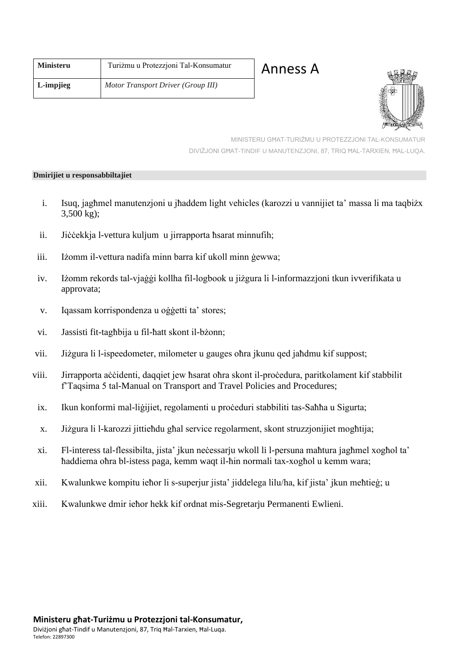| <b>Ministeru</b> | Turiżmu u Protezzjoni Tal-Konsumatur |
|------------------|--------------------------------------|
| L-impjieg        | Motor Transport Driver (Group III)   |

Anness A



MINISTERU GĦAT-TURIŻMU U PROTEZZJONI TAL-KONSUMATUR DIVIŻJONI GĦAT-TINDIF U MANUTENZJONI, 87, TRIQ ĦAL-TARXIEN, ĦAL-LUQA.

## **Dmirijiet u responsabbiltajiet**

- i. Isuq, jagħmel manutenzjoni u jħaddem light vehicles (karozzi u vannijiet ta' massa li ma taqbiżx 3,500 kg);
- ii. Jiċċekkja l-vettura kuljum u jirrapporta ħsarat minnufih;
- iii. Iżomm il-vettura nadifa minn barra kif ukoll minn ġewwa;
- iv. Iżomm rekords tal-vjaġġi kollha fil-logbook u jiżgura li l-informazzjoni tkun ivverifikata u approvata;
- v. Iqassam korrispondenza u oġġetti ta' stores;
- vi. Jassisti fit-tagħbija u fil-ħatt skont il-bżonn;
- vii. Jiżgura li l-ispeedometer, milometer u gauges oħra jkunu qed jaħdmu kif suppost;
- viii. Jirrapporta aċċidenti, daqqiet jew ħsarat oħra skont il-proċedura, paritkolament kif stabbilit f'Taqsima 5 tal-Manual on Transport and Travel Policies and Procedures;
- ix. Ikun konformi mal-liġijiet, regolamenti u proċeduri stabbiliti tas-Saħħa u Sigurta;
- x. Jiżgura li l-karozzi jittieħdu għal service regolarment, skont struzzjonijiet mogħtija;
- xi. Fl-interess tal-flessibilta, jista' jkun neċessarju wkoll li l-persuna maħtura jagħmel xogħol ta' ħaddiema oħra bl-istess paga, kemm waqt il-ħin normali tax-xogħol u kemm wara;
- xii. Kwalunkwe kompitu ieħor li s-superjur jista' jiddelega lilu/ha, kif jista' jkun meħtieġ; u
- xiii. Kwalunkwe dmir ieħor hekk kif ordnat mis-Segretarju Permanenti Ewlieni.